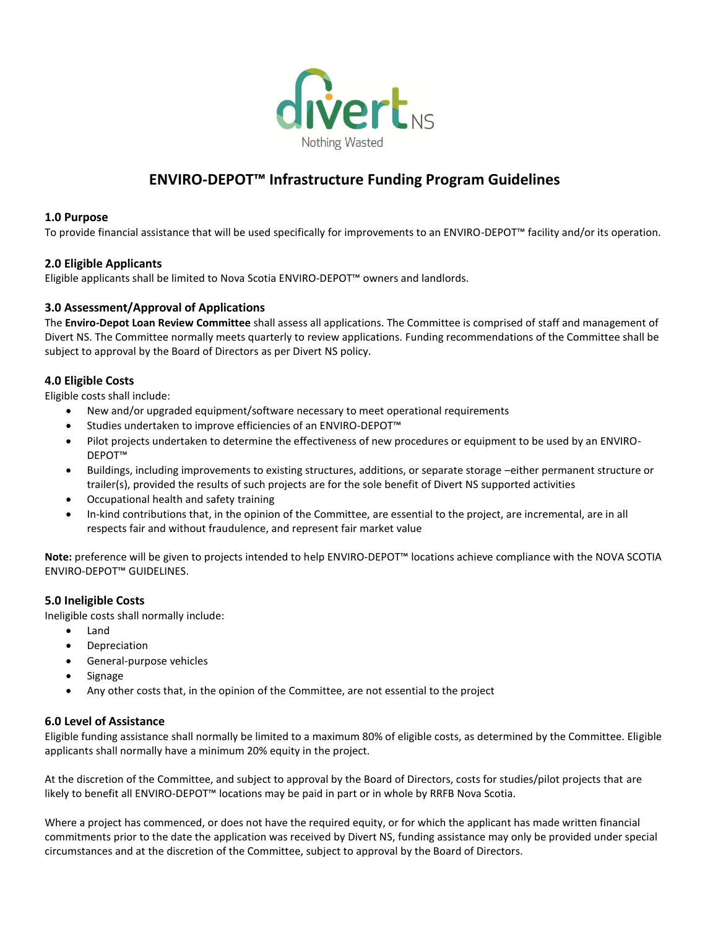

## **ENVIRO-DEPOT™ Infrastructure Funding Program Guidelines**

#### **1.0 Purpose**

To provide financial assistance that will be used specifically for improvements to an ENVIRO-DEPOT™ facility and/or its operation.

#### **2.0 Eligible Applicants**

Eligible applicants shall be limited to Nova Scotia ENVIRO-DEPOT™ owners and landlords.

#### **3.0 Assessment/Approval of Applications**

The **Enviro-Depot Loan Review Committee** shall assess all applications. The Committee is comprised of staff and management of Divert NS. The Committee normally meets quarterly to review applications. Funding recommendations of the Committee shall be subject to approval by the Board of Directors as per Divert NS policy.

#### **4.0 Eligible Costs**

Eligible costs shall include:

- New and/or upgraded equipment/software necessary to meet operational requirements
- Studies undertaken to improve efficiencies of an ENVIRO-DEPOT™
- Pilot projects undertaken to determine the effectiveness of new procedures or equipment to be used by an ENVIRO-DEPOT™
- Buildings, including improvements to existing structures, additions, or separate storage –either permanent structure or trailer(s), provided the results of such projects are for the sole benefit of Divert NS supported activities
- Occupational health and safety training
- In-kind contributions that, in the opinion of the Committee, are essential to the project, are incremental, are in all respects fair and without fraudulence, and represent fair market value

**Note:** preference will be given to projects intended to help ENVIRO-DEPOT™ locations achieve compliance with the NOVA SCOTIA ENVIRO-DEPOT™ GUIDELINES.

#### **5.0 Ineligible Costs**

Ineligible costs shall normally include:

- Land
- Depreciation
- General-purpose vehicles
- Signage
- Any other costs that, in the opinion of the Committee, are not essential to the project

#### **6.0 Level of Assistance**

Eligible funding assistance shall normally be limited to a maximum 80% of eligible costs, as determined by the Committee. Eligible applicants shall normally have a minimum 20% equity in the project.

At the discretion of the Committee, and subject to approval by the Board of Directors, costs for studies/pilot projects that are likely to benefit all ENVIRO-DEPOT™ locations may be paid in part or in whole by RRFB Nova Scotia.

Where a project has commenced, or does not have the required equity, or for which the applicant has made written financial commitments prior to the date the application was received by Divert NS, funding assistance may only be provided under special circumstances and at the discretion of the Committee, subject to approval by the Board of Directors.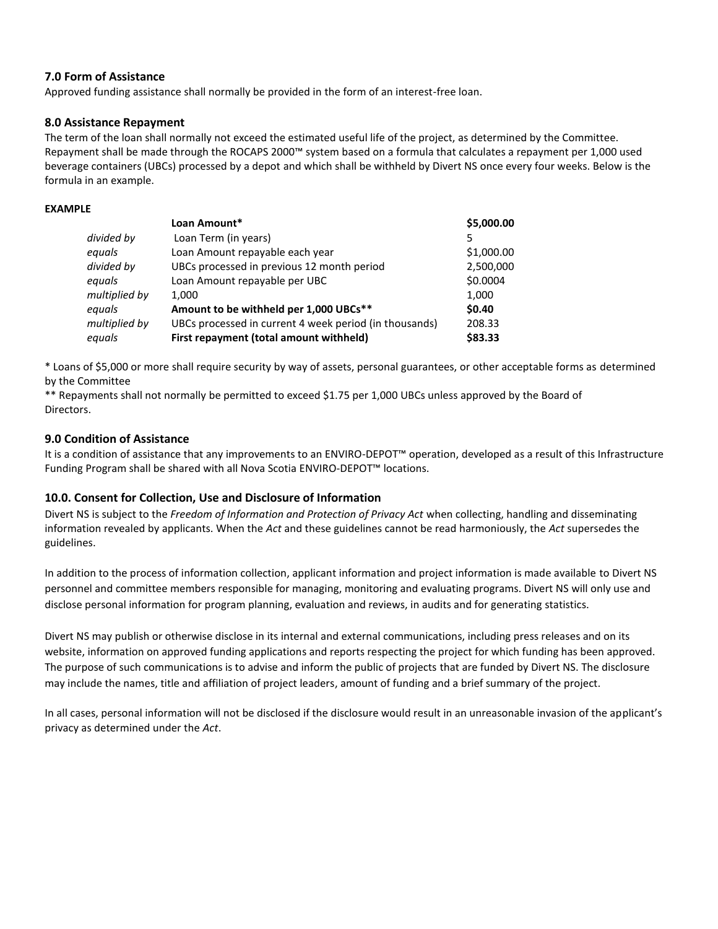#### **7.0 Form of Assistance**

Approved funding assistance shall normally be provided in the form of an interest-free loan.

#### **8.0 Assistance Repayment**

The term of the loan shall normally not exceed the estimated useful life of the project, as determined by the Committee. Repayment shall be made through the ROCAPS 2000™ system based on a formula that calculates a repayment per 1,000 used beverage containers (UBCs) processed by a depot and which shall be withheld by Divert NS once every four weeks. Below is the formula in an example.

#### **EXAMPLE**

|               | Loan Amount*                                           | \$5,000.00 |
|---------------|--------------------------------------------------------|------------|
| divided by    | Loan Term (in years)                                   |            |
| equals        | Loan Amount repayable each year                        | \$1,000.00 |
| divided by    | UBCs processed in previous 12 month period             | 2,500,000  |
| equals        | Loan Amount repayable per UBC                          | \$0.0004   |
| multiplied by | 1.000                                                  | 1,000      |
| equals        | Amount to be withheld per 1,000 UBCs**                 | \$0.40     |
| multiplied by | UBCs processed in current 4 week period (in thousands) | 208.33     |
| equals        | First repayment (total amount withheld)                | \$83.33    |

\* Loans of \$5,000 or more shall require security by way of assets, personal guarantees, or other acceptable forms as determined by the Committee

\*\* Repayments shall not normally be permitted to exceed \$1.75 per 1,000 UBCs unless approved by the Board of Directors.

#### **9.0 Condition of Assistance**

It is a condition of assistance that any improvements to an ENVIRO-DEPOT™ operation, developed as a result of this Infrastructure Funding Program shall be shared with all Nova Scotia ENVIRO-DEPOT™ locations.

#### **10.0. Consent for Collection, Use and Disclosure of Information**

Divert NS is subject to the *Freedom of Information and Protection of Privacy Act* when collecting, handling and disseminating information revealed by applicants. When the *Act* and these guidelines cannot be read harmoniously, the *Act* supersedes the guidelines.

In addition to the process of information collection, applicant information and project information is made available to Divert NS personnel and committee members responsible for managing, monitoring and evaluating programs. Divert NS will only use and disclose personal information for program planning, evaluation and reviews, in audits and for generating statistics.

Divert NS may publish or otherwise disclose in its internal and external communications, including press releases and on its website, information on approved funding applications and reports respecting the project for which funding has been approved. The purpose of such communications is to advise and inform the public of projects that are funded by Divert NS. The disclosure may include the names, title and affiliation of project leaders, amount of funding and a brief summary of the project.

In all cases, personal information will not be disclosed if the disclosure would result in an unreasonable invasion of the applicant's privacy as determined under the *Act*.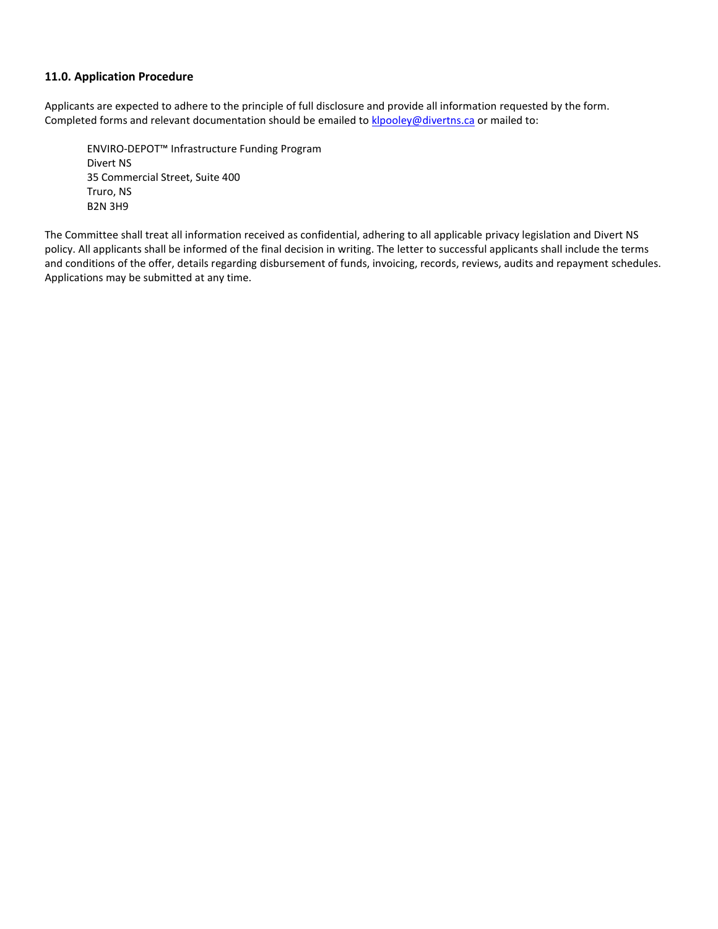#### **11.0. Application Procedure**

Applicants are expected to adhere to the principle of full disclosure and provide all information requested by the form. Completed forms and relevant documentation should be emailed to [klpooley@divertns.ca](mailto:klpooley@divertns.ca) or mailed to:

ENVIRO-DEPOT™ Infrastructure Funding Program Divert NS 35 Commercial Street, Suite 400 Truro, NS B2N 3H9

The Committee shall treat all information received as confidential, adhering to all applicable privacy legislation and Divert NS policy. All applicants shall be informed of the final decision in writing. The letter to successful applicants shall include the terms and conditions of the offer, details regarding disbursement of funds, invoicing, records, reviews, audits and repayment schedules. Applications may be submitted at any time.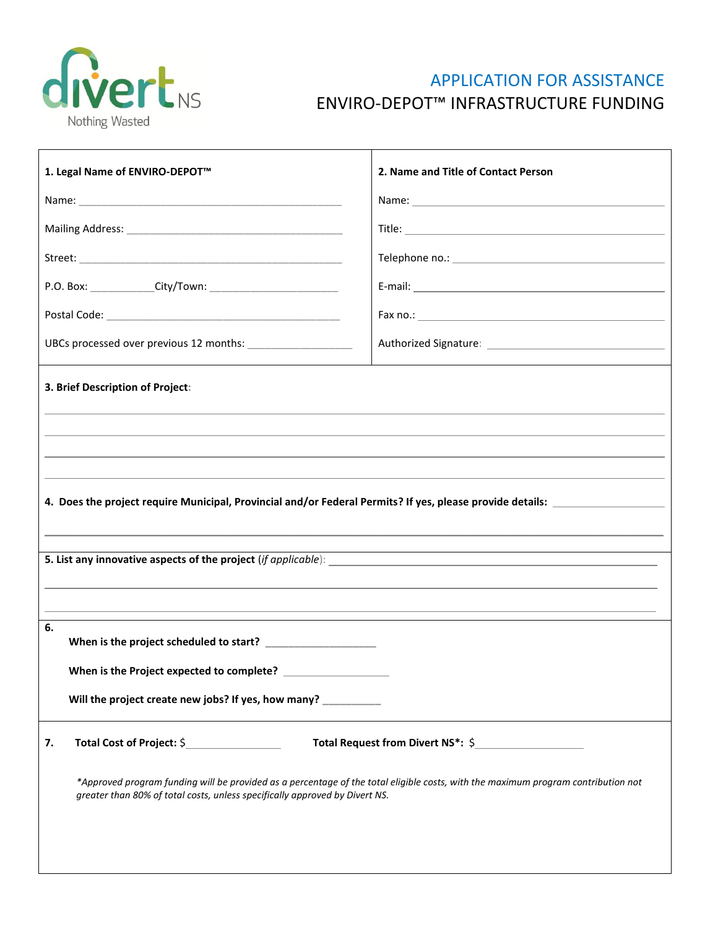

# APPLICATION FOR ASSISTANCE ENVIRO-DEPOT™ INFRASTRUCTURE FUNDING

| 1. Legal Name of ENVIRO-DEPOT <sup>™</sup>                                                                                                                                                                                                          | 2. Name and Title of Contact Person |  |  |  |  |  |  |
|-----------------------------------------------------------------------------------------------------------------------------------------------------------------------------------------------------------------------------------------------------|-------------------------------------|--|--|--|--|--|--|
|                                                                                                                                                                                                                                                     |                                     |  |  |  |  |  |  |
|                                                                                                                                                                                                                                                     |                                     |  |  |  |  |  |  |
|                                                                                                                                                                                                                                                     |                                     |  |  |  |  |  |  |
|                                                                                                                                                                                                                                                     |                                     |  |  |  |  |  |  |
|                                                                                                                                                                                                                                                     |                                     |  |  |  |  |  |  |
|                                                                                                                                                                                                                                                     |                                     |  |  |  |  |  |  |
| 3. Brief Description of Project:                                                                                                                                                                                                                    |                                     |  |  |  |  |  |  |
| 4. Does the project require Municipal, Provincial and/or Federal Permits? If yes, please provide details: _____                                                                                                                                     |                                     |  |  |  |  |  |  |
| 6.                                                                                                                                                                                                                                                  |                                     |  |  |  |  |  |  |
|                                                                                                                                                                                                                                                     |                                     |  |  |  |  |  |  |
| Will the project create new jobs? If yes, how many?                                                                                                                                                                                                 |                                     |  |  |  |  |  |  |
| Total Cost of Project: \$<br>7.<br>*Approved program funding will be provided as a percentage of the total eligible costs, with the maximum program contribution not<br>greater than 80% of total costs, unless specifically approved by Divert NS. |                                     |  |  |  |  |  |  |
|                                                                                                                                                                                                                                                     |                                     |  |  |  |  |  |  |